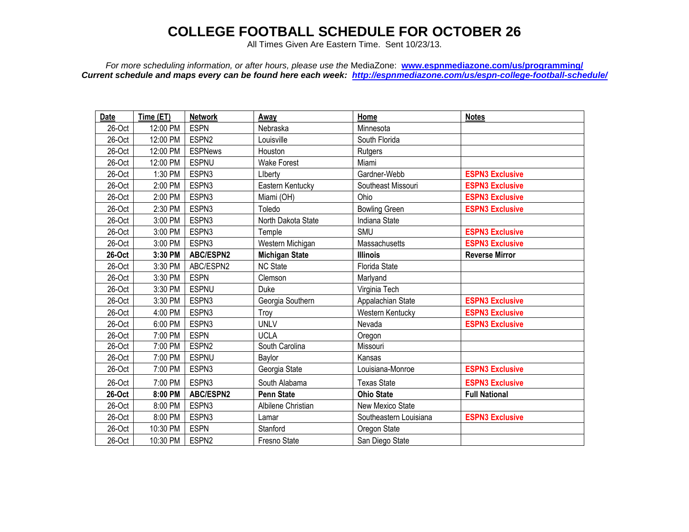## **COLLEGE FOOTBALL SCHEDULE FOR OCTOBER 26**

All Times Given Are Eastern Time. Sent 10/23/13.

*For more scheduling information, or after hours, please use the* MediaZone: **[www.espnmediazone.com/us/programming/](http://www.espnmediazone.com/us/programming/)** *Current schedule and maps every can be found here each week: <http://espnmediazone.com/us/espn-college-football-schedule/>*

| Date   | Time (ET) | <b>Network</b>   | Away                  | Home                   | <b>Notes</b>           |
|--------|-----------|------------------|-----------------------|------------------------|------------------------|
| 26-Oct | 12:00 PM  | <b>ESPN</b>      | Nebraska              | Minnesota              |                        |
| 26-Oct | 12:00 PM  | ESPN2            | Louisville            | South Florida          |                        |
| 26-Oct | 12:00 PM  | <b>ESPNews</b>   | Houston               | Rutgers                |                        |
| 26-Oct | 12:00 PM  | <b>ESPNU</b>     | <b>Wake Forest</b>    | Miami                  |                        |
| 26-Oct | 1:30 PM   | ESPN3            | Liberty               | Gardner-Webb           | <b>ESPN3 Exclusive</b> |
| 26-Oct | 2:00 PM   | ESPN3            | Eastern Kentucky      | Southeast Missouri     | <b>ESPN3 Exclusive</b> |
| 26-Oct | 2:00 PM   | ESPN3            | Miami (OH)            | Ohio                   | <b>ESPN3 Exclusive</b> |
| 26-Oct | 2:30 PM   | ESPN3            | Toledo                | <b>Bowling Green</b>   | <b>ESPN3 Exclusive</b> |
| 26-Oct | 3:00 PM   | ESPN3            | North Dakota State    | Indiana State          |                        |
| 26-Oct | 3:00 PM   | ESPN3            | Temple                | SMU                    | <b>ESPN3 Exclusive</b> |
| 26-Oct | 3:00 PM   | ESPN3            | Western Michigan      | Massachusetts          | <b>ESPN3 Exclusive</b> |
| 26-Oct | 3:30 PM   | <b>ABC/ESPN2</b> | <b>Michigan State</b> | <b>Illinois</b>        | <b>Reverse Mirror</b>  |
| 26-Oct | 3:30 PM   | ABC/ESPN2        | <b>NC State</b>       | <b>Florida State</b>   |                        |
| 26-Oct | 3:30 PM   | <b>ESPN</b>      | Clemson               | Marlyand               |                        |
| 26-Oct | 3:30 PM   | <b>ESPNU</b>     | Duke                  | Virginia Tech          |                        |
| 26-Oct | 3:30 PM   | ESPN3            | Georgia Southern      | Appalachian State      | <b>ESPN3 Exclusive</b> |
| 26-Oct | 4:00 PM   | ESPN3            | Troy                  | Western Kentucky       | <b>ESPN3 Exclusive</b> |
| 26-Oct | 6:00 PM   | ESPN3            | <b>UNLV</b>           | Nevada                 | <b>ESPN3 Exclusive</b> |
| 26-Oct | 7:00 PM   | <b>ESPN</b>      | <b>UCLA</b>           | Oregon                 |                        |
| 26-Oct | 7:00 PM   | ESPN2            | South Carolina        | Missouri               |                        |
| 26-Oct | 7:00 PM   | <b>ESPNU</b>     | Baylor                | Kansas                 |                        |
| 26-Oct | 7:00 PM   | ESPN3            | Georgia State         | Louisiana-Monroe       | <b>ESPN3 Exclusive</b> |
| 26-Oct | 7:00 PM   | ESPN3            | South Alabama         | <b>Texas State</b>     | <b>ESPN3 Exclusive</b> |
| 26-Oct | 8:00 PM   | <b>ABC/ESPN2</b> | <b>Penn State</b>     | <b>Ohio State</b>      | <b>Full National</b>   |
| 26-Oct | 8:00 PM   | ESPN3            | Albilene Christian    | New Mexico State       |                        |
| 26-Oct | 8:00 PM   | ESPN3            | Lamar                 | Southeastern Louisiana | <b>ESPN3 Exclusive</b> |
| 26-Oct | 10:30 PM  | <b>ESPN</b>      | Stanford              | Oregon State           |                        |
| 26-Oct | 10:30 PM  | ESPN2            | Fresno State          | San Diego State        |                        |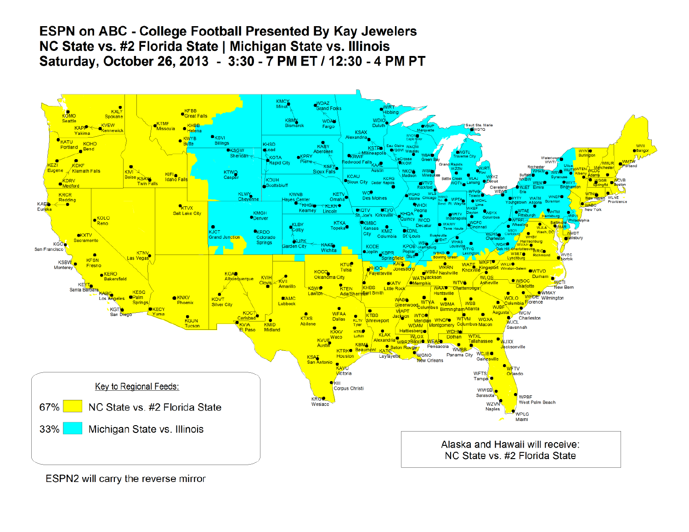## **ESPN on ABC - College Football Presented By Kay Jewelers** NC State vs. #2 Florida State | Michigan State vs. Illinois Saturday, October 26, 2013 - 3:30 - 7 PM ET / 12:30 - 4 PM PT



ESPN2 will carry the reverse mirror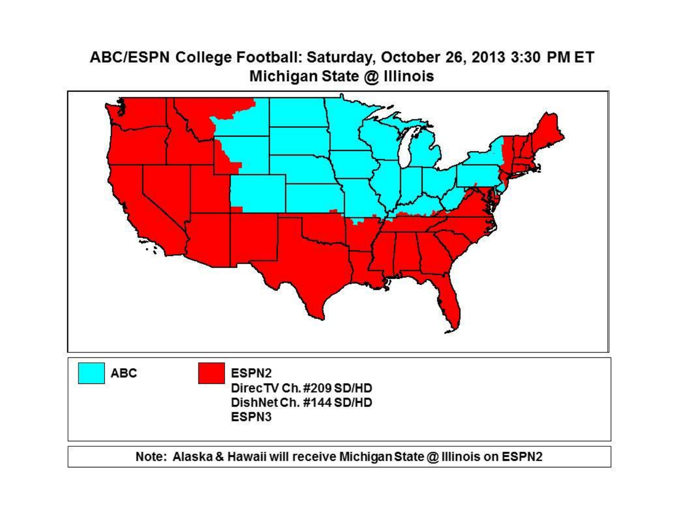## ABC/ESPN College Football: Saturday, October 26, 2013 3:30 PM ET Michigan State @ Illinois